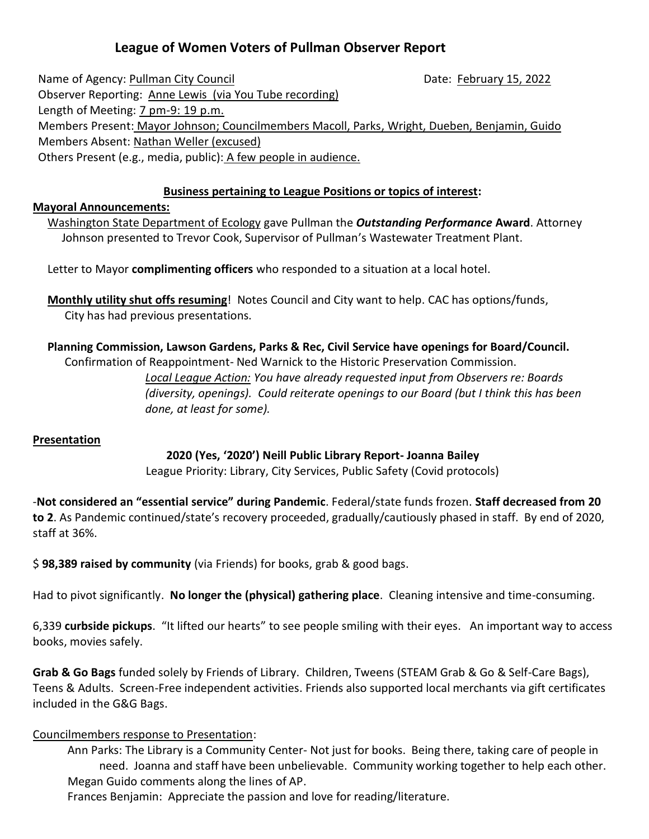# **League of Women Voters of Pullman Observer Report**

Name of Agency: Pullman City Council Date: February 15, 2022 Observer Reporting: Anne Lewis (via You Tube recording) Length of Meeting: 7 pm-9: 19 p.m. Members Present: Mayor Johnson; Councilmembers Macoll, Parks, Wright, Dueben, Benjamin, Guido Members Absent: Nathan Weller (excused) Others Present (e.g., media, public): A few people in audience.

#### **Business pertaining to League Positions or topics of interest:**

#### **Mayoral Announcements:**

 Washington State Department of Ecology gave Pullman the *Outstanding Performance* **Award**. Attorney Johnson presented to Trevor Cook, Supervisor of Pullman's Wastewater Treatment Plant.

Letter to Mayor **complimenting officers** who responded to a situation at a local hotel.

 **Monthly utility shut offs resuming**! Notes Council and City want to help. CAC has options/funds, City has had previous presentations.

 **Planning Commission, Lawson Gardens, Parks & Rec, Civil Service have openings for Board/Council.** Confirmation of Reappointment- Ned Warnick to the Historic Preservation Commission.

 *Local League Action: You have already requested input from Observers re: Boards (diversity, openings). Could reiterate openings to our Board (but I think this has been done, at least for some).*

#### **Presentation**

#### **2020 (Yes, '2020') Neill Public Library Report- Joanna Bailey**

League Priority: Library, City Services, Public Safety (Covid protocols)

-**Not considered an "essential service" during Pandemic**. Federal/state funds frozen. **Staff decreased from 20 to 2**. As Pandemic continued/state's recovery proceeded, gradually/cautiously phased in staff. By end of 2020, staff at 36%.

\$ **98,389 raised by community** (via Friends) for books, grab & good bags.

Had to pivot significantly. **No longer the (physical) gathering place**. Cleaning intensive and time-consuming.

6,339 **curbside pickups**. "It lifted our hearts" to see people smiling with their eyes. An important way to access books, movies safely.

**Grab & Go Bags** funded solely by Friends of Library. Children, Tweens (STEAM Grab & Go & Self-Care Bags), Teens & Adults. Screen-Free independent activities. Friends also supported local merchants via gift certificates included in the G&G Bags.

#### Councilmembers response to Presentation:

 Ann Parks: The Library is a Community Center- Not just for books. Being there, taking care of people in need. Joanna and staff have been unbelievable. Community working together to help each other. Megan Guido comments along the lines of AP.

Frances Benjamin: Appreciate the passion and love for reading/literature.